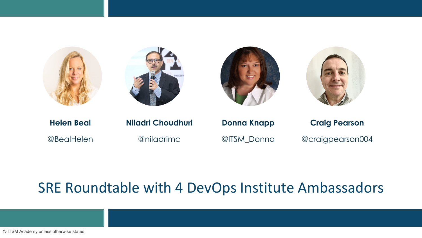







**Helen Beal Niladri Choudhuri Donna Knapp Craig Pearson**

@BealHelen @niladrimc @ITSM\_Donna @craigpearson004

### SRE Roundtable with 4 DevOps Institute Ambassadors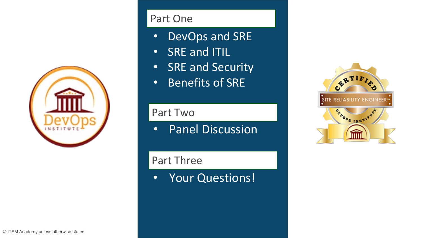

#### Part One

- DevOps and SRE
- SRE and ITIL
- SRE and Security
- Benefits of SRE

#### Part Two

• Panel Discussion

#### Part Three

• Your Questions!

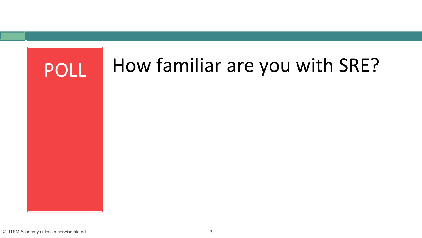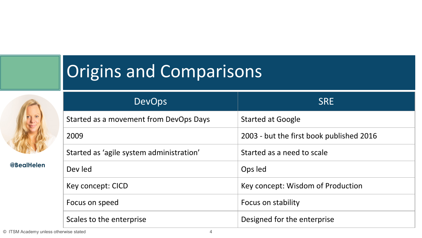## Origins and Comparisons



**@BealHelen**

| <b>DevOps</b>                            | <b>SRE</b>                               |
|------------------------------------------|------------------------------------------|
| Started as a movement from DevOps Days   | <b>Started at Google</b>                 |
| 2009                                     | 2003 - but the first book published 2016 |
| Started as 'agile system administration' | Started as a need to scale               |
| Dev led                                  | Ops led                                  |
| Key concept: CICD                        | Key concept: Wisdom of Production        |
| Focus on speed                           | Focus on stability                       |
| Scales to the enterprise                 | Designed for the enterprise              |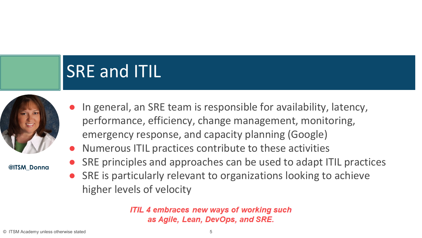## SRE and ITIL



**@ITSM\_Donna** 

- In general, an SRE team is responsible for availability, latency, performance, efficiency, change management, monitoring, emergency response, and capacity planning (Google)
- Numerous ITIL practices contribute to these activities
- SRE principles and approaches can be used to adapt ITIL practices
- SRE is particularly relevant to organizations looking to achieve higher levels of velocity

**ITIL 4 embraces new ways of working such** as Agile, Lean, DevOps, and SRE.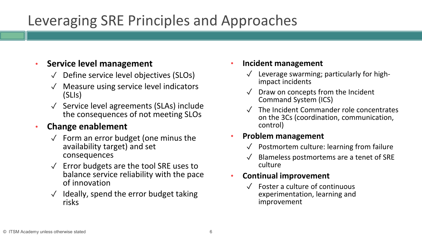## Leveraging SRE Principles and Approaches

#### • **Service level management**

- ✓ Define service level objectives (SLOs)
- ✓ Measure using service level indicators (SLIs)
- ✓ Service level agreements (SLAs) include the consequences of not meeting SLOs

#### • **Change enablement**

- $\sqrt{ }$  Form an error budget (one minus the availability target) and set consequences
- ✓ Error budgets are the tool SRE uses to balance service reliability with the pace of innovation
- $\sqrt{\phantom{a}}$  Ideally, spend the error budget taking risks

#### • **Incident management**

- Leverage swarming; particularly for high-<br>impact incidents
- Draw on concepts from the Incident Command System (ICS)
- The Incident Commander role concentrates on the 3Cs (coordination, communication, control)

#### • **Problem management**

- $\sqrt{\phantom{a}}$  Postmortem culture: learning from failure
- Blameless postmortems are a tenet of SRE culture

#### • **Continual improvement**

Foster a culture of continuous experimentation, learning and improvement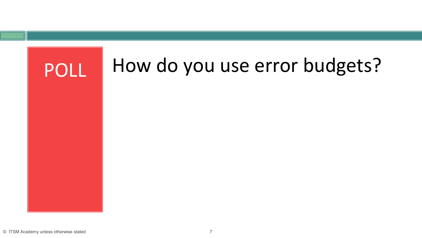

#### © ITSM Academy unless otherwise stated 7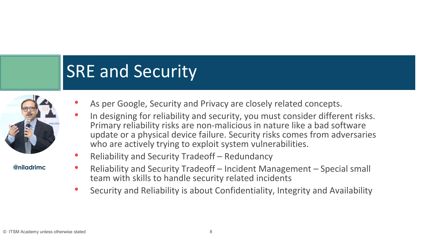## SRE and Security



**@niladrimc**

- As per Google, Security and Privacy are closely related concepts.
- In designing for reliability and security, you must consider different risks. Primary reliability risks are non-malicious in nature like a bad software update or a physical device failure. Security risks comes from adversaries who are actively trying to exploit system vulnerabilities.
- Reliability and Security Tradeoff Redundancy
- Reliability and Security Tradeoff Incident Management Special small team with skills to handle security related incidents
- Security and Reliability is about Confidentiality, Integrity and Availability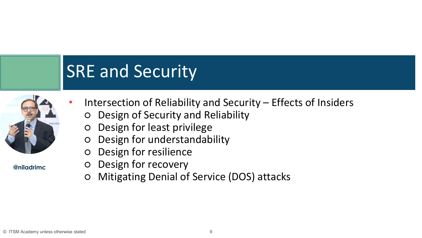## SRE and Security



**@niladrimc**

- Intersection of Reliability and Security Effects of Insiders
	- Design of Security and Reliability
	- Design for least privilege
	- Design for understandability
	- Design for resilience
	- Design for recovery
	- Mitigating Denial of Service (DOS) attacks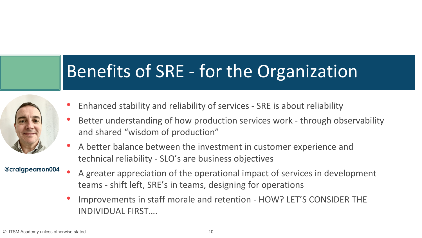## Benefits of SRE - for the Organization



- Enhanced stability and reliability of services SRE is about reliability
- Better understanding of how production services work through observability and shared "wisdom of production"
- A better balance between the investment in customer experience and technical reliability - SLO's are business objectives

#### **@craigpearson004**

- A greater appreciation of the operational impact of services in development teams - shift left, SRE's in teams, designing for operations
- Improvements in staff morale and retention HOW? LET'S CONSIDER THE INDIVIDUAL FIRST….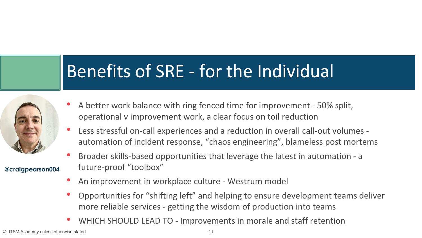## Benefits of SRE - for the Individual



**@craigpearson004**

- A better work balance with ring fenced time for improvement 50% split, operational v improvement work, a clear focus on toil reduction
- Less stressful on-call experiences and a reduction in overall call-out volumes automation of incident response, "chaos engineering", blameless post mortems
- Broader skills-based opportunities that leverage the latest in automation a future-proof "toolbox"
- An improvement in workplace culture Westrum model
- Opportunities for "shifting left" and helping to ensure development teams deliver more reliable services - getting the wisdom of production into teams
- WHICH SHOULD LEAD TO Improvements in morale and staff retention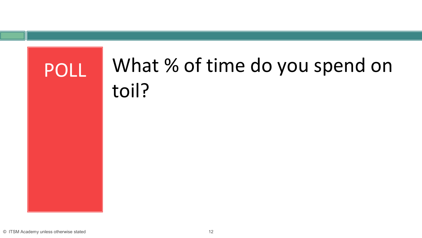# POLL What % of time do you spend on toil?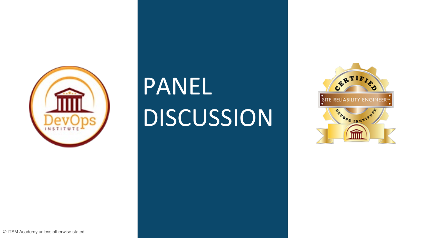

## PANEL DISCUSSION

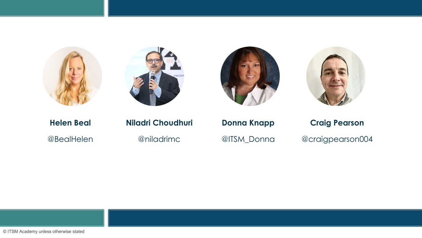







#### **Helen Beal Niladri Choudhuri Donna Knapp Craig Pearson** @BealHelen @niladrimc @ITSM\_Donna @craigpearson004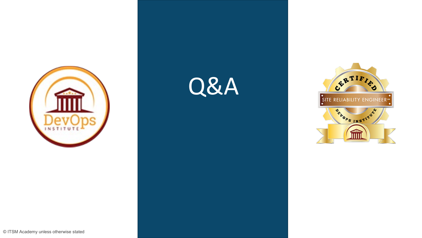





© ITSM Academy unless otherwise stated